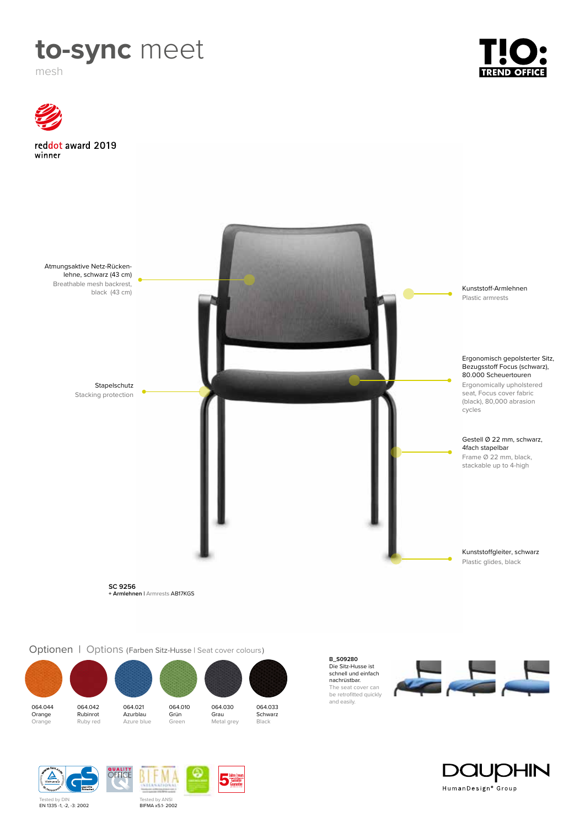

mesh



064.044 Orange Orange



064.021 Azurblau Azure blue

064.010 Grün Green



Jahre / years Jahre / year<br>Garantie<br>Guarantee

and easily.<br>**064.042 064.021 064.010 064.030 064.033 064.042** 064.033 Schwarz

nachrüstbar.

 $\frac{1}{\sqrt{2}}$ The seat cover can be retrofitted quickly<br>and easily.





Tested by DIN<br>**EN 1335 -1, -2, -3: 2002** 

Tested by ANSI<br>**BIFMA x5.1- 2002**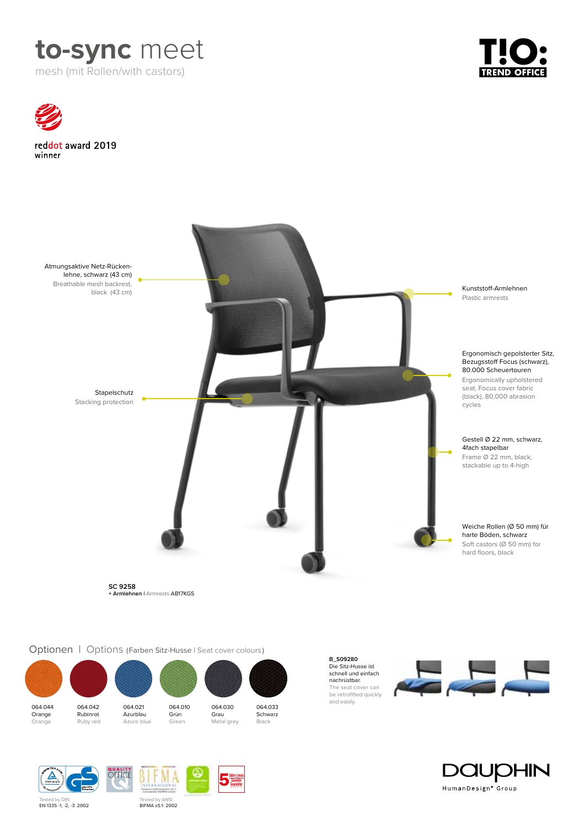





Optionen | Options (Farben Sitz-Husse | Seat cover colours)



Tested by ANSI<br>**BIFMA x5.1- 2002** 

Jahre / years Jahre / year<br>Garantie<br>Guarantee

**B\_S09280** Die Sitz-Husse ist schnell und einfach nachrüstbar. The seat cover can be retrofitted quickly<br>and easily.





Tested by DIN<br>**EN 1335 -1, -2, -3: 2002**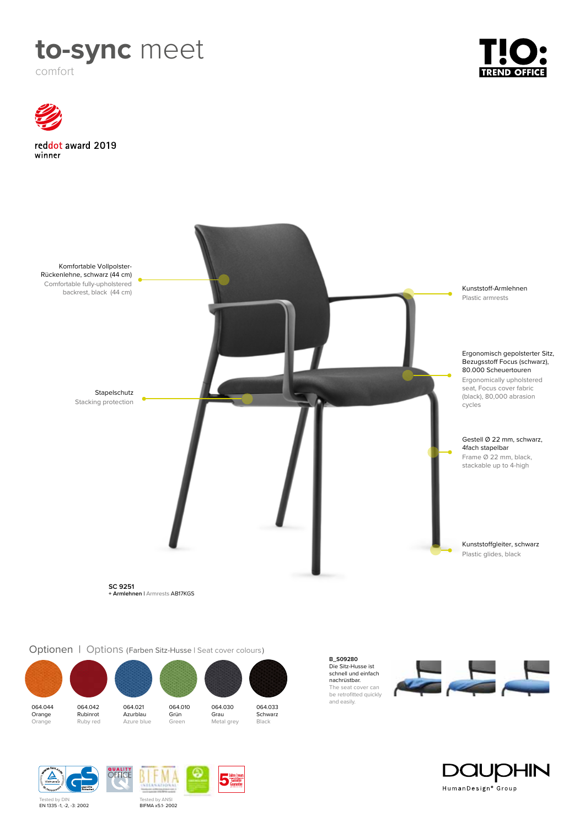

comfort





Optionen | Options (Farben Sitz-Husse | Seat cover colours)



Tested by ANSI<br>**BIFMA x5.1- 2002** 

Jahre / years Jahre / year<br>Garantie<br>Guarantee